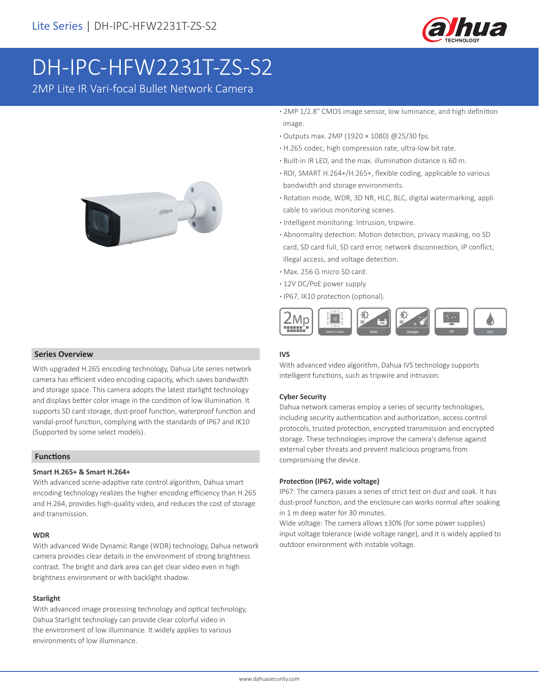

# DH-IPC-HFW2231T-ZS-S2

2MP Lite IR Vari-focal Bullet Network Camera



 **Series Overview**

With upgraded H.265 encoding technology, Dahua Lite series network camera has efficient video encoding capacity, which saves bandwidth and storage space. This camera adopts the latest starlight technology and displays better color image in the condition of low illumination. It supports SD card storage, dust-proof function, waterproof function and vandal-proof function, complying with the standards of IP67 and IK10 (Supported by some select models).

### **Functions**

### **Smart H.265+ & Smart H.264+**

With advanced scene-adaptive rate control algorithm, Dahua smart encoding technology realizes the higher encoding efficiency than H.265 and H.264, provides high-quality video, and reduces the cost of storage and transmission.

### **WDR**

With advanced Wide Dynamic Range (WDR) technology, Dahua network camera provides clear details in the environment of strong brightness contrast. The bright and dark area can get clear video even in high brightness environment or with backlight shadow.

### **Starlight**

With advanced image processing technology and optical technology, Dahua Starlight technology can provide clear colorful video in the environment of low illuminance. It widely applies to various environments of low illuminance.

- **·** 2MP 1/2.8" CMOS image sensor, low luminance, and high definition image.
- **·** Outputs max. 2MP (1920 × 1080) @25/30 fps.
- **·** H.265 codec, high compression rate, ultra-low bit rate.
- **·** Built-in IR LED, and the max. illumination distance is 60 m.
- **·** ROI, SMART H.264+/H.265+, flexible coding, applicable to various bandwidth and storage environments.
- **·** Rotation mode, WDR, 3D NR, HLC, BLC, digital watermarking, appli cable to various monitoring scenes.
- **·** Intelligent monitoring: Intrusion, tripwire.
- **·** Abnormality detection: Motion detection, privacy masking, no SD card, SD card full, SD card error, network disconnection, IP conflict, illegal access, and voltage detection.
- **·** Max. 256 G micro SD card.
- **·** 12V DC/PoE power supply.
- **·** IP67, IK10 protection (optional).



### **IVS**

With advanced video algorithm, Dahua IVS technology supports intelligent functions, such as tripwire and intrusion.

### **Cyber Security**

Dahua network cameras employ a series of security technologies, including security authentication and authorization, access control protocols, trusted protection, encrypted transmission and encrypted storage. These technologies improve the camera's defense against external cyber threats and prevent malicious programs from compromising the device.

#### **Protection (IP67, wide voltage)**

IP67: The camera passes a series of strict test on dust and soak. It has dust-proof function, and the enclosure can works normal after soaking in 1 m deep water for 30 minutes.

Wide voltage: The camera allows ±30% (for some power supplies) input voltage tolerance (wide voltage range), and it is widely applied to outdoor environment with instable voltage.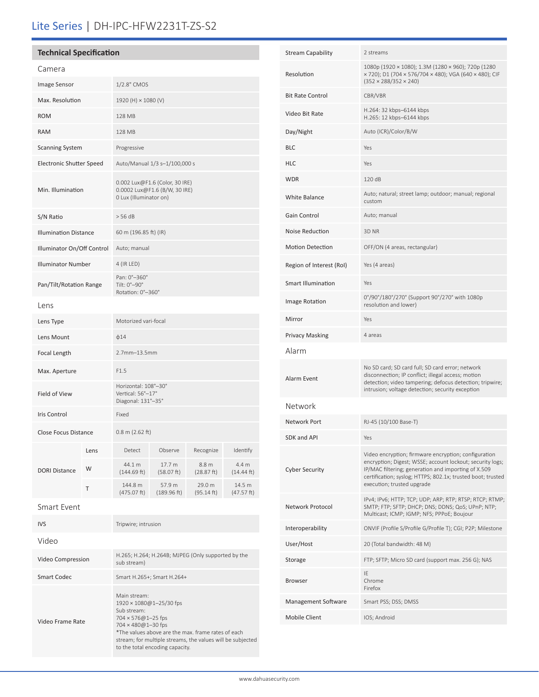# Lite Series | DH-IPC-HFW2231T-ZS-S2

# **Technical Specification**

| Camera                          |      |                                                                                           |                       |                      |                                |  |
|---------------------------------|------|-------------------------------------------------------------------------------------------|-----------------------|----------------------|--------------------------------|--|
| <b>Image Sensor</b>             |      | 1/2.8" CMOS                                                                               |                       |                      |                                |  |
| Max. Resolution                 |      | 1920 (H) × 1080 (V)                                                                       |                       |                      |                                |  |
| <b>ROM</b>                      |      | 128 MB                                                                                    |                       |                      |                                |  |
| <b>RAM</b>                      |      | 128 MB                                                                                    |                       |                      |                                |  |
| <b>Scanning System</b>          |      | Progressive                                                                               |                       |                      |                                |  |
| <b>Electronic Shutter Speed</b> |      | Auto/Manual 1/3 s-1/100,000 s                                                             |                       |                      |                                |  |
| Min. Illumination               |      | 0.002 Lux@F1.6 (Color, 30 IRE)<br>0.0002 Lux@F1.6 (B/W, 30 IRE)<br>0 Lux (Illuminator on) |                       |                      |                                |  |
| S/N Ratio                       |      | > 56 dB                                                                                   |                       |                      |                                |  |
| <b>Illumination Distance</b>    |      | 60 m (196.85 ft) (IR)                                                                     |                       |                      |                                |  |
| Illuminator On/Off Control      |      | Auto; manual                                                                              |                       |                      |                                |  |
| <b>Illuminator Number</b>       |      | 4 (IR LED)                                                                                |                       |                      |                                |  |
| Pan/Tilt/Rotation Range         |      | Pan: 0°-360°<br>Tilt: 0°-90°<br>Rotation: 0°-360°                                         |                       |                      |                                |  |
| Lens                            |      |                                                                                           |                       |                      |                                |  |
| Lens Type                       |      | Motorized vari-focal                                                                      |                       |                      |                                |  |
| Lens Mount                      |      | $\phi$ 14                                                                                 |                       |                      |                                |  |
| Focal Length                    |      | 2.7mm-13.5mm                                                                              |                       |                      |                                |  |
| Max. Aperture                   |      | F1.5                                                                                      |                       |                      |                                |  |
| Field of View                   |      | Horizontal: 108°-30°<br>Vertical: 56°-17°<br>Diagonal: 131°-35°                           |                       |                      |                                |  |
| Iris Control                    |      | Fixed                                                                                     |                       |                      |                                |  |
| Close Focus Distance            |      | $0.8$ m (2.62 ft)                                                                         |                       |                      |                                |  |
| <b>DORI Distance</b>            | Lens | Detect                                                                                    | Observe               | Recognize            | Identify                       |  |
|                                 | W    | 44.1 m<br>(144.69 ft)                                                                     | 17.7 m<br>(58.07 ft)  | 8.8 m<br>(28.87 ft)  | 4.4 <sub>m</sub><br>(14.44 ft) |  |
|                                 | Τ    | 144.8 m<br>(475.07 ft)                                                                    | 57.9 m<br>(189.96 ft) | 29.0 m<br>(95.14 ft) | 14.5 m<br>(47.57 ft)           |  |
| <b>Smart Event</b>              |      |                                                                                           |                       |                      |                                |  |

|  |  | <u>Silidi u Evelit</u> |  |  |
|--|--|------------------------|--|--|
|  |  |                        |  |  |

| <b>IVS</b>        | Tripwire; intrusion                                                                                                                                                                                                                                                         |
|-------------------|-----------------------------------------------------------------------------------------------------------------------------------------------------------------------------------------------------------------------------------------------------------------------------|
| Video             |                                                                                                                                                                                                                                                                             |
| Video Compression | H.265; H.264; H.264B; MJPEG (Only supported by the<br>sub stream)                                                                                                                                                                                                           |
| Smart Codec       | Smart H.265+; Smart H.264+                                                                                                                                                                                                                                                  |
| Video Frame Rate  | Main stream:<br>1920 × 1080@1-25/30 fps<br>Sub stream:<br>$704 \times 576@1 - 25$ fps<br>$704 \times 480@1 - 30$ fps<br>*The values above are the max, frame rates of each<br>stream; for multiple streams, the values will be subjected<br>to the total encoding capacity. |

| <b>Stream Capability</b>  | 2 streams                                                                                                                                                                                                                                                             |
|---------------------------|-----------------------------------------------------------------------------------------------------------------------------------------------------------------------------------------------------------------------------------------------------------------------|
| Resolution                | 1080p (1920 × 1080); 1.3M (1280 × 960); 720p (1280<br>× 720); D1 (704 × 576/704 × 480); VGA (640 × 480); CIF<br>$(352 \times 288/352 \times 240)$                                                                                                                     |
| <b>Bit Rate Control</b>   | CBR/VBR                                                                                                                                                                                                                                                               |
| Video Bit Rate            | H.264: 32 kbps-6144 kbps<br>H.265: 12 kbps-6144 kbps                                                                                                                                                                                                                  |
| Day/Night                 | Auto (ICR)/Color/B/W                                                                                                                                                                                                                                                  |
| <b>BLC</b>                | Yes                                                                                                                                                                                                                                                                   |
| <b>HLC</b>                | Yes                                                                                                                                                                                                                                                                   |
| <b>WDR</b>                | 120 dB                                                                                                                                                                                                                                                                |
| <b>White Balance</b>      | Auto; natural; street lamp; outdoor; manual; regional<br>custom                                                                                                                                                                                                       |
| Gain Control              | Auto; manual                                                                                                                                                                                                                                                          |
| Noise Reduction           | 3D NR                                                                                                                                                                                                                                                                 |
| <b>Motion Detection</b>   | OFF/ON (4 areas, rectangular)                                                                                                                                                                                                                                         |
| Region of Interest (RoI)  | Yes (4 areas)                                                                                                                                                                                                                                                         |
| <b>Smart Illumination</b> | Yes                                                                                                                                                                                                                                                                   |
| Image Rotation            | 0°/90°/180°/270° (Support 90°/270° with 1080p<br>resolution and lower)                                                                                                                                                                                                |
| Mirror                    | Yes                                                                                                                                                                                                                                                                   |
| <b>Privacy Masking</b>    | 4 areas                                                                                                                                                                                                                                                               |
| Alarm                     |                                                                                                                                                                                                                                                                       |
| Alarm Event               | No SD card; SD card full; SD card error; network<br>disconnection; IP conflict; illegal access; motion<br>detection; video tampering; defocus detection; tripwire;<br>intrusion; voltage detection; security exception                                                |
| Network                   |                                                                                                                                                                                                                                                                       |
| Network Port              | RJ-45 (10/100 Base-T)                                                                                                                                                                                                                                                 |
| SDK and API               | Yes                                                                                                                                                                                                                                                                   |
| <b>Cyber Security</b>     | Video encryption; firmware encryption; configuration<br>encryption; Digest; WSSE; account lockout; security logs;<br>IP/MAC filtering; generation and importing of X.509<br>certification; syslog; HTTPS; 802.1x; trusted boot; trusted<br>execution; trusted upgrade |
| Network Protocol          | IPv4; IPv6; HTTP; TCP; UDP; ARP; RTP; RTSP; RTCP; RTMP;<br>SMTP; FTP; SFTP; DHCP; DNS; DDNS; QoS; UPnP; NTP;<br>Multicast; ICMP; IGMP; NFS; PPPoE; Boujour                                                                                                            |
| Interoperability          | ONVIF (Profile S/Profile G/Profile T); CGI; P2P; Milestone                                                                                                                                                                                                            |
| User/Host                 | 20 (Total bandwidth: 48 M)                                                                                                                                                                                                                                            |
| Storage                   | FTP; SFTP; Micro SD card (support max. 256 G); NAS                                                                                                                                                                                                                    |
| <b>Browser</b>            | ΙE<br>Chrome<br>Firefox                                                                                                                                                                                                                                               |
| Management Software       | Smart PSS; DSS; DMSS                                                                                                                                                                                                                                                  |
| <b>Mobile Client</b>      | IOS; Android                                                                                                                                                                                                                                                          |
|                           |                                                                                                                                                                                                                                                                       |